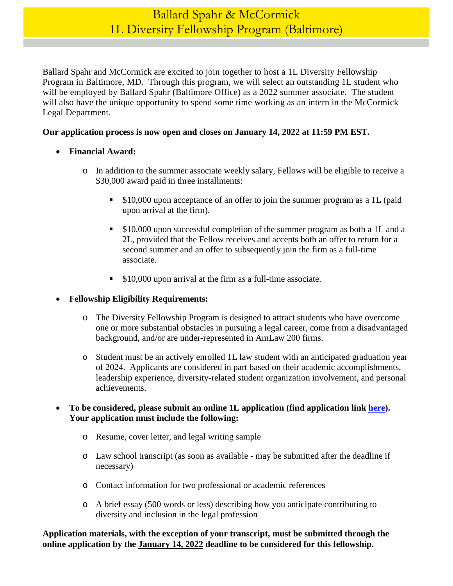# Ballard Spahr & McCormick 1L Diversity Fellowship Program (Baltimore)

Ballard Spahr and McCormick are excited to join together to host a 1L Diversity Fellowship Program in Baltimore, MD. Through this program, we will select an outstanding 1L student who will be employed by Ballard Spahr (Baltimore Office) as a 2022 summer associate. The student will also have the unique opportunity to spend some time working as an intern in the McCormick Legal Department.

### **Our application process is now open and closes on January 14, 2022 at 11:59 PM EST.**

- **Financial Award:** 
	- o In addition to the summer associate weekly salary, Fellows will be eligible to receive a \$30,000 award paid in three installments:
		- \$10,000 upon acceptance of an offer to join the summer program as a 1L (paid upon arrival at the firm).
		- **S10,000 upon successful completion of the summer program as both a 1L and a** 2L, provided that the Fellow receives and accepts both an offer to return for a second summer and an offer to subsequently join the firm as a full-time associate.
		- **S10,000 upon arrival at the firm as a full-time associate.**

## **Fellowship Eligibility Requirements:**

- o The Diversity Fellowship Program is designed to attract students who have overcome one or more substantial obstacles in pursuing a legal career, come from a disadvantaged background, and/or are under-represented in AmLaw 200 firms.
- o Student must be an actively enrolled 1L law student with an anticipated graduation year of 2024. Applicants are considered in part based on their academic accomplishments, leadership experience, diversity-related student organization involvement, and personal achievements.

### **To be considered, please submit an online 1L application (find application link [here\)](https://www.ballardspahr.com/Careers/Law-Students/Law-Students-Apply). Your application must include the following:**

- o Resume, cover letter, and legal writing sample
- o Law school transcript (as soon as available may be submitted after the deadline if necessary)
- o Contact information for two professional or academic references
- o A brief essay (500 words or less) describing how you anticipate contributing to diversity and inclusion in the legal profession

**Application materials, with the exception of your transcript, must be submitted through the online application by the January 14, 2022 deadline to be considered for this fellowship.**